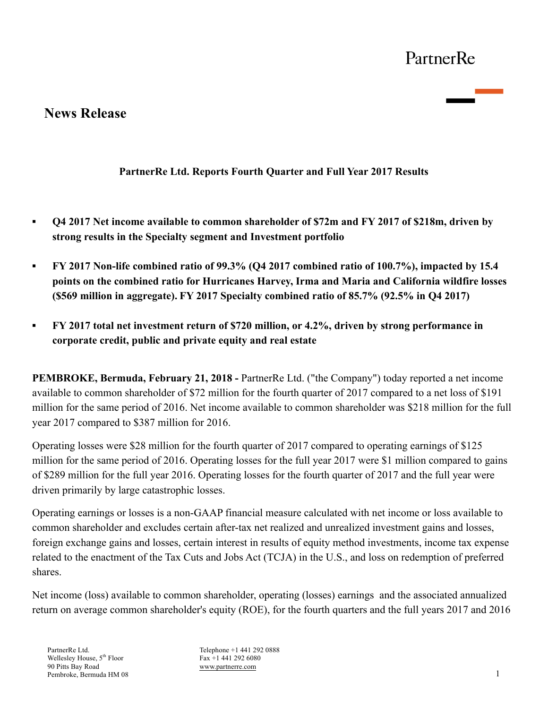## **News Release**

## **PartnerRe Ltd. Reports Fourth Quarter and Full Year 2017 Results**

- **▪ Q4 2017 Net income available to common shareholder of \$72m and FY 2017 of \$218m, driven by strong results in the Specialty segment and Investment portfolio**
- **▪ FY 2017 Non-life combined ratio of 99.3% (Q4 2017 combined ratio of 100.7%), impacted by 15.4 points on the combined ratio for Hurricanes Harvey, Irma and Maria and California wildfire losses (\$569 million in aggregate). FY 2017 Specialty combined ratio of 85.7% (92.5% in Q4 2017)**
- **▪ FY 2017 total net investment return of \$720 million, or 4.2%, driven by strong performance in corporate credit, public and private equity and real estate**

**PEMBROKE, Bermuda, February 21, 2018 -** PartnerRe Ltd. ("the Company") today reported a net income available to common shareholder of \$72 million for the fourth quarter of 2017 compared to a net loss of \$191 million for the same period of 2016. Net income available to common shareholder was \$218 million for the full year 2017 compared to \$387 million for 2016.

Operating losses were \$28 million for the fourth quarter of 2017 compared to operating earnings of \$125 million for the same period of 2016. Operating losses for the full year 2017 were \$1 million compared to gains of \$289 million for the full year 2016. Operating losses for the fourth quarter of 2017 and the full year were driven primarily by large catastrophic losses.

Operating earnings or losses is a non-GAAP financial measure calculated with net income or loss available to common shareholder and excludes certain after-tax net realized and unrealized investment gains and losses, foreign exchange gains and losses, certain interest in results of equity method investments, income tax expense related to the enactment of the Tax Cuts and Jobs Act (TCJA) in the U.S., and loss on redemption of preferred shares.

Net income (loss) available to common shareholder, operating (losses) earnings and the associated annualized return on average common shareholder's equity (ROE), for the fourth quarters and the full years 2017 and 2016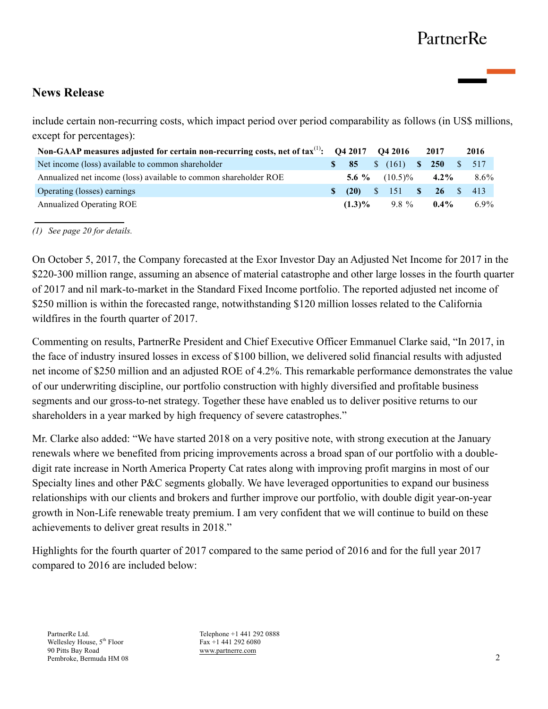## **News Release**

include certain non-recurring costs, which impact period over period comparability as follows (in US\$ millions, except for percentages):

| Non-GAAP measures adjusted for certain non-recurring costs, net of $\arctan 0.2017$ Q4 2016 2017 |                 |                                                                                                                                                                 |  |          | 2016    |
|--------------------------------------------------------------------------------------------------|-----------------|-----------------------------------------------------------------------------------------------------------------------------------------------------------------|--|----------|---------|
| Net income (loss) available to common shareholder                                                | $\textbf{S}$ 85 | $\sqrt{5}$ (161) \ \ \ \ \ 250                                                                                                                                  |  | $\sim$ S | 517     |
| Annualized net income (loss) available to common shareholder ROE                                 |                 | 5.6 % $(10.5)\%$ 4.2%                                                                                                                                           |  |          | $8.6\%$ |
| Operating (losses) earnings                                                                      |                 | $\begin{array}{ccccccccc}\n\textbf{\textbf{s}} & (20) & \textbf{\textbf{\textbf{s}}} & 151 & \textbf{\textbf{s}} & 26 & \textbf{\textbf{s}} & 413\n\end{array}$ |  |          |         |
| <b>Annualized Operating ROE</b>                                                                  |                 | $(1.3)\%$ 9.8 % 0.4%                                                                                                                                            |  |          | $6.9\%$ |

### *(1) See page 20 for details.*

On October 5, 2017, the Company forecasted at the Exor Investor Day an Adjusted Net Income for 2017 in the \$220-300 million range, assuming an absence of material catastrophe and other large losses in the fourth quarter of 2017 and nil mark-to-market in the Standard Fixed Income portfolio. The reported adjusted net income of \$250 million is within the forecasted range, notwithstanding \$120 million losses related to the California wildfires in the fourth quarter of 2017.

Commenting on results, PartnerRe President and Chief Executive Officer Emmanuel Clarke said, "In 2017, in the face of industry insured losses in excess of \$100 billion, we delivered solid financial results with adjusted net income of \$250 million and an adjusted ROE of 4.2%. This remarkable performance demonstrates the value of our underwriting discipline, our portfolio construction with highly diversified and profitable business segments and our gross-to-net strategy. Together these have enabled us to deliver positive returns to our shareholders in a year marked by high frequency of severe catastrophes."

Mr. Clarke also added: "We have started 2018 on a very positive note, with strong execution at the January renewals where we benefited from pricing improvements across a broad span of our portfolio with a doubledigit rate increase in North America Property Cat rates along with improving profit margins in most of our Specialty lines and other P&C segments globally. We have leveraged opportunities to expand our business relationships with our clients and brokers and further improve our portfolio, with double digit year-on-year growth in Non-Life renewable treaty premium. I am very confident that we will continue to build on these achievements to deliver great results in 2018."

Highlights for the fourth quarter of 2017 compared to the same period of 2016 and for the full year 2017 compared to 2016 are included below: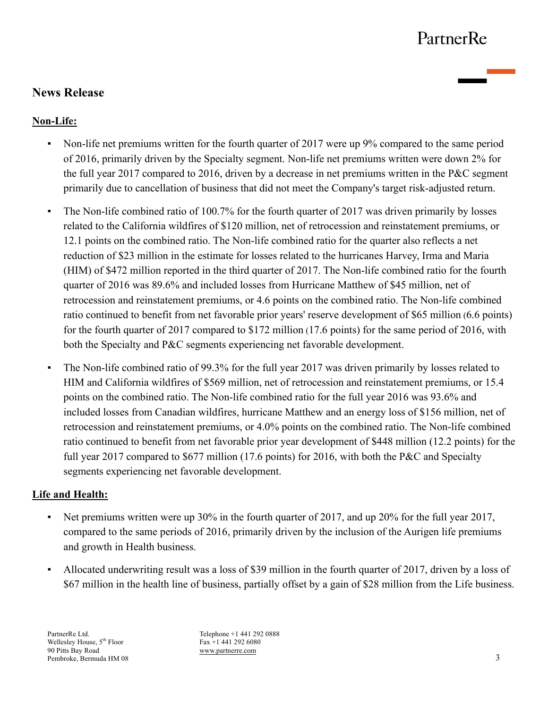## **News Release**

## **Non-Life:**

- Non-life net premiums written for the fourth quarter of 2017 were up 9% compared to the same period of 2016, primarily driven by the Specialty segment. Non-life net premiums written were down 2% for the full year 2017 compared to 2016, driven by a decrease in net premiums written in the P&C segment primarily due to cancellation of business that did not meet the Company's target risk-adjusted return.
- The Non-life combined ratio of 100.7% for the fourth quarter of 2017 was driven primarily by losses related to the California wildfires of \$120 million, net of retrocession and reinstatement premiums, or 12.1 points on the combined ratio. The Non-life combined ratio for the quarter also reflects a net reduction of \$23 million in the estimate for losses related to the hurricanes Harvey, Irma and Maria (HIM) of \$472 million reported in the third quarter of 2017. The Non-life combined ratio for the fourth quarter of 2016 was 89.6% and included losses from Hurricane Matthew of \$45 million, net of retrocession and reinstatement premiums, or 4.6 points on the combined ratio. The Non-life combined ratio continued to benefit from net favorable prior years' reserve development of \$65 million (6.6 points) for the fourth quarter of 2017 compared to \$172 million (17.6 points) for the same period of 2016, with both the Specialty and P&C segments experiencing net favorable development.
- The Non-life combined ratio of 99.3% for the full year 2017 was driven primarily by losses related to HIM and California wildfires of \$569 million, net of retrocession and reinstatement premiums, or 15.4 points on the combined ratio. The Non-life combined ratio for the full year 2016 was 93.6% and included losses from Canadian wildfires, hurricane Matthew and an energy loss of \$156 million, net of retrocession and reinstatement premiums, or 4.0% points on the combined ratio. The Non-life combined ratio continued to benefit from net favorable prior year development of \$448 million (12.2 points) for the full year 2017 compared to \$677 million (17.6 points) for 2016, with both the P&C and Specialty segments experiencing net favorable development.

## **Life and Health:**

- Net premiums written were up 30% in the fourth quarter of 2017, and up 20% for the full year 2017, compared to the same periods of 2016, primarily driven by the inclusion of the Aurigen life premiums and growth in Health business.
- Allocated underwriting result was a loss of \$39 million in the fourth quarter of 2017, driven by a loss of \$67 million in the health line of business, partially offset by a gain of \$28 million from the Life business.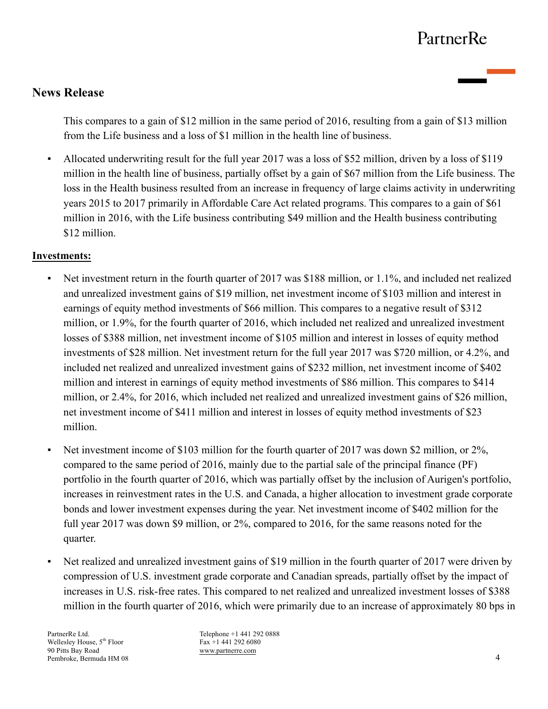## **News Release**

This compares to a gain of \$12 million in the same period of 2016, resulting from a gain of \$13 million from the Life business and a loss of \$1 million in the health line of business.

▪ Allocated underwriting result for the full year 2017 was a loss of \$52 million, driven by a loss of \$119 million in the health line of business, partially offset by a gain of \$67 million from the Life business. The loss in the Health business resulted from an increase in frequency of large claims activity in underwriting years 2015 to 2017 primarily in Affordable Care Act related programs. This compares to a gain of \$61 million in 2016, with the Life business contributing \$49 million and the Health business contributing \$12 million.

## **Investments:**

- Net investment return in the fourth quarter of 2017 was \$188 million, or 1.1%, and included net realized and unrealized investment gains of \$19 million, net investment income of \$103 million and interest in earnings of equity method investments of \$66 million. This compares to a negative result of \$312 million, or 1.9%, for the fourth quarter of 2016, which included net realized and unrealized investment losses of \$388 million, net investment income of \$105 million and interest in losses of equity method investments of \$28 million. Net investment return for the full year 2017 was \$720 million, or 4.2%, and included net realized and unrealized investment gains of \$232 million, net investment income of \$402 million and interest in earnings of equity method investments of \$86 million. This compares to \$414 million, or 2.4%, for 2016, which included net realized and unrealized investment gains of \$26 million, net investment income of \$411 million and interest in losses of equity method investments of \$23 million.
- Net investment income of \$103 million for the fourth quarter of 2017 was down \$2 million, or 2%, compared to the same period of 2016, mainly due to the partial sale of the principal finance (PF) portfolio in the fourth quarter of 2016, which was partially offset by the inclusion of Aurigen's portfolio, increases in reinvestment rates in the U.S. and Canada, a higher allocation to investment grade corporate bonds and lower investment expenses during the year. Net investment income of \$402 million for the full year 2017 was down \$9 million, or 2%, compared to 2016, for the same reasons noted for the quarter.
- Net realized and unrealized investment gains of \$19 million in the fourth quarter of 2017 were driven by compression of U.S. investment grade corporate and Canadian spreads, partially offset by the impact of increases in U.S. risk-free rates. This compared to net realized and unrealized investment losses of \$388 million in the fourth quarter of 2016, which were primarily due to an increase of approximately 80 bps in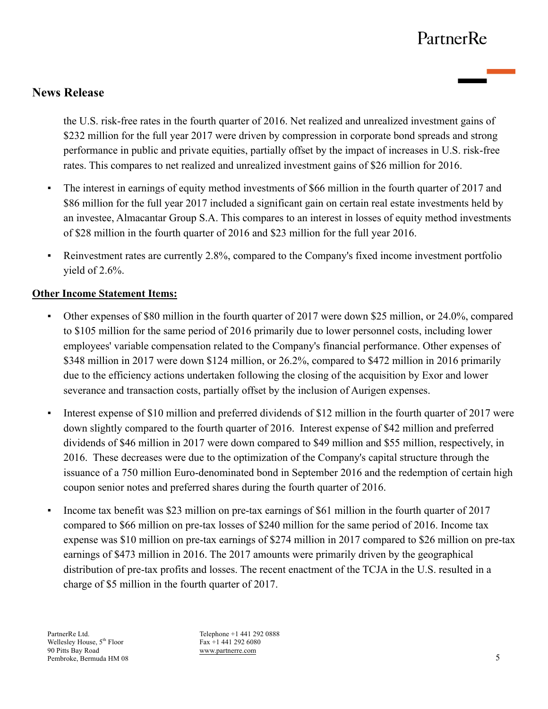## **News Release**

the U.S. risk-free rates in the fourth quarter of 2016. Net realized and unrealized investment gains of \$232 million for the full year 2017 were driven by compression in corporate bond spreads and strong performance in public and private equities, partially offset by the impact of increases in U.S. risk-free rates. This compares to net realized and unrealized investment gains of \$26 million for 2016.

- The interest in earnings of equity method investments of \$66 million in the fourth quarter of 2017 and \$86 million for the full year 2017 included a significant gain on certain real estate investments held by an investee, Almacantar Group S.A. This compares to an interest in losses of equity method investments of \$28 million in the fourth quarter of 2016 and \$23 million for the full year 2016.
- Reinvestment rates are currently 2.8%, compared to the Company's fixed income investment portfolio yield of 2.6%.

## **Other Income Statement Items:**

- Other expenses of \$80 million in the fourth quarter of 2017 were down \$25 million, or 24.0%, compared to \$105 million for the same period of 2016 primarily due to lower personnel costs, including lower employees' variable compensation related to the Company's financial performance. Other expenses of \$348 million in 2017 were down \$124 million, or 26.2%, compared to \$472 million in 2016 primarily due to the efficiency actions undertaken following the closing of the acquisition by Exor and lower severance and transaction costs, partially offset by the inclusion of Aurigen expenses.
- Interest expense of \$10 million and preferred dividends of \$12 million in the fourth quarter of 2017 were down slightly compared to the fourth quarter of 2016. Interest expense of \$42 million and preferred dividends of \$46 million in 2017 were down compared to \$49 million and \$55 million, respectively, in 2016. These decreases were due to the optimization of the Company's capital structure through the issuance of a 750 million Euro-denominated bond in September 2016 and the redemption of certain high coupon senior notes and preferred shares during the fourth quarter of 2016.
- Income tax benefit was \$23 million on pre-tax earnings of \$61 million in the fourth quarter of 2017 compared to \$66 million on pre-tax losses of \$240 million for the same period of 2016. Income tax expense was \$10 million on pre-tax earnings of \$274 million in 2017 compared to \$26 million on pre-tax earnings of \$473 million in 2016. The 2017 amounts were primarily driven by the geographical distribution of pre-tax profits and losses. The recent enactment of the TCJA in the U.S. resulted in a charge of \$5 million in the fourth quarter of 2017.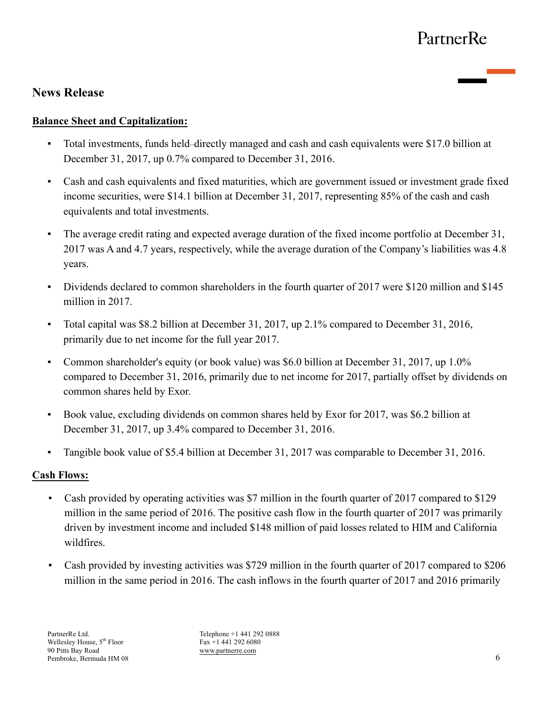## **News Release**

## **Balance Sheet and Capitalization:**

- Total investments, funds held–directly managed and cash and cash equivalents were \$17.0 billion at December 31, 2017, up 0.7% compared to December 31, 2016.
- Cash and cash equivalents and fixed maturities, which are government issued or investment grade fixed income securities, were \$14.1 billion at December 31, 2017, representing 85% of the cash and cash equivalents and total investments.
- The average credit rating and expected average duration of the fixed income portfolio at December 31, 2017 was A and 4.7 years, respectively, while the average duration of the Company's liabilities was 4.8 years.
- Dividends declared to common shareholders in the fourth quarter of 2017 were \$120 million and \$145 million in 2017.
- Total capital was \$8.2 billion at December 31, 2017, up 2.1% compared to December 31, 2016, primarily due to net income for the full year 2017.
- Common shareholder's equity (or book value) was \$6.0 billion at December 31, 2017, up 1.0% compared to December 31, 2016, primarily due to net income for 2017, partially offset by dividends on common shares held by Exor.
- Book value, excluding dividends on common shares held by Exor for 2017, was \$6.2 billion at December 31, 2017, up 3.4% compared to December 31, 2016.
- **•** Tangible book value of \$5.4 billion at December 31, 2017 was comparable to December 31, 2016.

## **Cash Flows:**

- Cash provided by operating activities was \$7 million in the fourth quarter of 2017 compared to \$129 million in the same period of 2016. The positive cash flow in the fourth quarter of 2017 was primarily driven by investment income and included \$148 million of paid losses related to HIM and California wildfires.
- Cash provided by investing activities was \$729 million in the fourth quarter of 2017 compared to \$206 million in the same period in 2016. The cash inflows in the fourth quarter of 2017 and 2016 primarily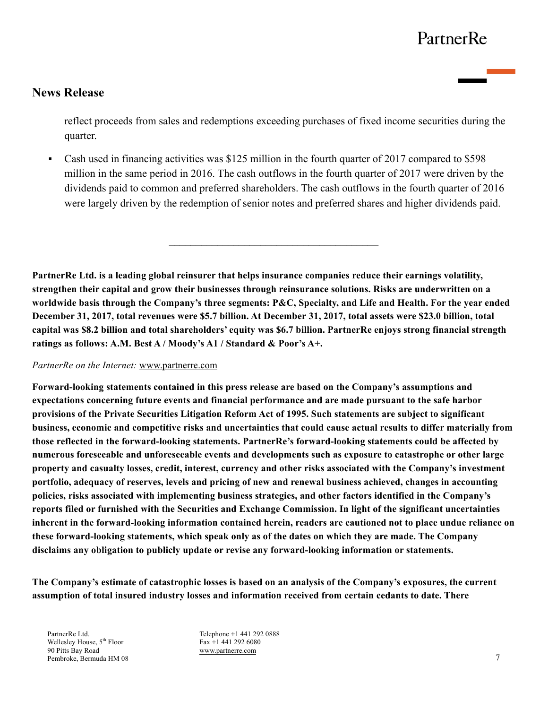## **News Release**

reflect proceeds from sales and redemptions exceeding purchases of fixed income securities during the quarter.

▪ Cash used in financing activities was \$125 million in the fourth quarter of 2017 compared to \$598 million in the same period in 2016. The cash outflows in the fourth quarter of 2017 were driven by the dividends paid to common and preferred shareholders. The cash outflows in the fourth quarter of 2016 were largely driven by the redemption of senior notes and preferred shares and higher dividends paid.

**PartnerRe Ltd. is a leading global reinsurer that helps insurance companies reduce their earnings volatility, strengthen their capital and grow their businesses through reinsurance solutions. Risks are underwritten on a worldwide basis through the Company's three segments: P&C, Specialty, and Life and Health. For the year ended December 31, 2017, total revenues were \$5.7 billion. At December 31, 2017, total assets were \$23.0 billion, total capital was \$8.2 billion and total shareholders' equity was \$6.7 billion. PartnerRe enjoys strong financial strength ratings as follows: A.M. Best A / Moody's A1 / Standard & Poor's A+.**

 $\mathcal{L}=\{1,2,3,4,5\}$ 

#### *PartnerRe on the Internet:* www.partnerre.com

**Forward-looking statements contained in this press release are based on the Company's assumptions and expectations concerning future events and financial performance and are made pursuant to the safe harbor provisions of the Private Securities Litigation Reform Act of 1995. Such statements are subject to significant business, economic and competitive risks and uncertainties that could cause actual results to differ materially from those reflected in the forward-looking statements. PartnerRe's forward-looking statements could be affected by numerous foreseeable and unforeseeable events and developments such as exposure to catastrophe or other large property and casualty losses, credit, interest, currency and other risks associated with the Company's investment portfolio, adequacy of reserves, levels and pricing of new and renewal business achieved, changes in accounting policies, risks associated with implementing business strategies, and other factors identified in the Company's reports filed or furnished with the Securities and Exchange Commission. In light of the significant uncertainties inherent in the forward-looking information contained herein, readers are cautioned not to place undue reliance on these forward-looking statements, which speak only as of the dates on which they are made. The Company disclaims any obligation to publicly update or revise any forward-looking information or statements.**

**The Company's estimate of catastrophic losses is based on an analysis of the Company's exposures, the current assumption of total insured industry losses and information received from certain cedants to date. There** 

PartnerRe Ltd. Wellesley House, 5<sup>th</sup> Floor 90 Pitts Bay Road Pembroke, Bermuda HM 08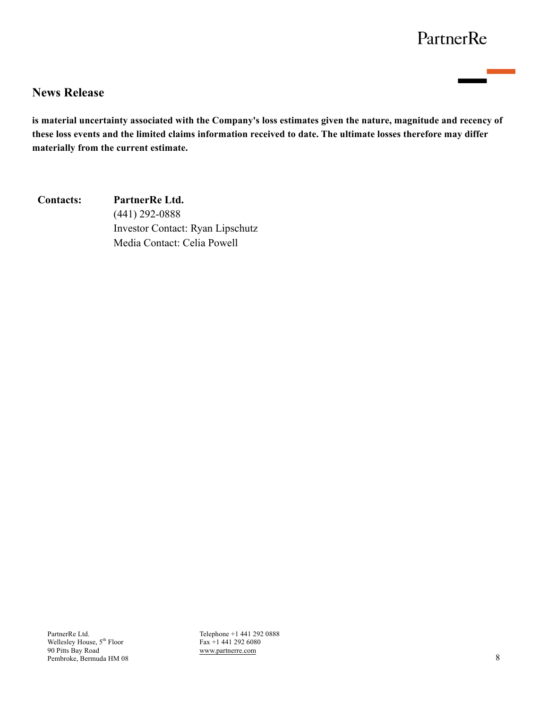## **News Release**

**is material uncertainty associated with the Company's loss estimates given the nature, magnitude and recency of these loss events and the limited claims information received to date. The ultimate losses therefore may differ materially from the current estimate.**

**Contacts: PartnerRe Ltd.** (441) 292-0888 Investor Contact: Ryan Lipschutz Media Contact: Celia Powell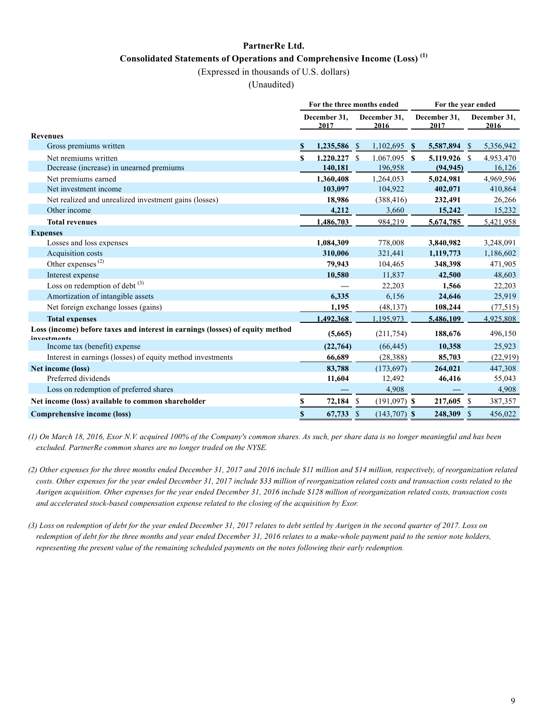## **PartnerRe Ltd. Consolidated Statements of Operations and Comprehensive Income (Loss) (1)**

(Expressed in thousands of U.S. dollars)

#### (Unaudited)

|                                                                                              | For the three months ended |                      |               |                      |                    | For the year ended   |               |                      |  |  |  |
|----------------------------------------------------------------------------------------------|----------------------------|----------------------|---------------|----------------------|--------------------|----------------------|---------------|----------------------|--|--|--|
|                                                                                              |                            | December 31,<br>2017 |               | December 31,<br>2016 |                    | December 31,<br>2017 |               | December 31,<br>2016 |  |  |  |
| <b>Revenues</b>                                                                              |                            |                      |               |                      |                    |                      |               |                      |  |  |  |
| Gross premiums written                                                                       | S                          | 1,235,586            | -S            | 1,102,695            | $\mathbf{\hat{s}}$ | 5,587,894            | -\$           | 5,356,942            |  |  |  |
| Net premiums written                                                                         | S                          | $1,220,227$ \$       |               | $1.067.095$ \$       |                    | 5.119.926 \$         |               | 4.953.470            |  |  |  |
| Decrease (increase) in unearned premiums                                                     |                            | 140,181              |               | 196,958              |                    | (94, 945)            |               | 16,126               |  |  |  |
| Net premiums earned                                                                          |                            | 1,360,408            |               | 1,264,053            |                    | 5.024.981            |               | 4,969,596            |  |  |  |
| Net investment income                                                                        |                            | 103,097              |               | 104,922              |                    | 402,071              |               | 410,864              |  |  |  |
| Net realized and unrealized investment gains (losses)                                        |                            | 18,986               |               | (388, 416)           |                    | 232,491              |               | 26,266               |  |  |  |
| Other income                                                                                 |                            | 4,212                |               | 3,660                |                    | 15,242               |               | 15,232               |  |  |  |
| <b>Total revenues</b>                                                                        |                            | 1,486,703            |               | 984,219              |                    | 5,674,785            |               | 5,421,958            |  |  |  |
| <b>Expenses</b>                                                                              |                            |                      |               |                      |                    |                      |               |                      |  |  |  |
| Losses and loss expenses                                                                     |                            | 1,084,309            |               | 778,008              |                    | 3,840,982            |               | 3,248,091            |  |  |  |
| Acquisition costs                                                                            |                            | 310,006              |               | 321,441              |                    | 1,119,773            |               | 1,186,602            |  |  |  |
| Other expenses $(2)$                                                                         |                            | 79,943               |               | 104,465              |                    | 348,398              |               | 471,905              |  |  |  |
| Interest expense                                                                             |                            | 10,580               |               | 11,837               |                    | 42,500               |               | 48,603               |  |  |  |
| Loss on redemption of debt $(3)$                                                             |                            |                      |               | 22,203               |                    | 1,566                |               | 22,203               |  |  |  |
| Amortization of intangible assets                                                            |                            | 6.335                |               | 6,156                |                    | 24,646               |               | 25,919               |  |  |  |
| Net foreign exchange losses (gains)                                                          |                            | 1,195                |               | (48, 137)            |                    | 108,244              |               | (77, 515)            |  |  |  |
| <b>Total expenses</b>                                                                        |                            | 1,492,368            |               | 1,195,973            |                    | 5,486,109            |               | 4,925,808            |  |  |  |
| Loss (income) before taxes and interest in earnings (losses) of equity method<br>investments |                            | (5,665)              |               | (211, 754)           |                    | 188,676              |               | 496,150              |  |  |  |
| Income tax (benefit) expense                                                                 |                            | (22,764)             |               | (66, 445)            |                    | 10,358               |               | 25,923               |  |  |  |
| Interest in earnings (losses) of equity method investments                                   |                            | 66,689               |               | (28, 388)            |                    | 85,703               |               | (22, 919)            |  |  |  |
| <b>Net income (loss)</b>                                                                     |                            | 83,788               |               | (173.697)            |                    | 264,021              |               | 447,308              |  |  |  |
| Preferred dividends                                                                          |                            | 11,604               |               | 12,492               |                    | 46,416               |               | 55,043               |  |  |  |
| Loss on redemption of preferred shares                                                       |                            |                      |               | 4,908                |                    |                      |               | 4,908                |  |  |  |
| Net income (loss) available to common shareholder                                            |                            | 72,184 \$            |               | $(191,097)$ \$       |                    | 217,605              | -S            | 387,357              |  |  |  |
| Comprehensive income (loss)                                                                  | \$                         | 67,733               | <sup>\$</sup> | $(143,707)$ \$       |                    | 248,309              | <sup>\$</sup> | 456,022              |  |  |  |

*(1) On March 18, 2016, Exor N.V. acquired 100% of the Company's common shares. As such, per share data is no longer meaningful and has been excluded. PartnerRe common shares are no longer traded on the NYSE.*

*(2) Other expenses for the three months ended December 31, 2017 and 2016 include \$11 million and \$14 million, respectively, of reorganization related costs. Other expenses for the year ended December 31, 2017 include \$33 million of reorganization related costs and transaction costs related to the Aurigen acquisition. Other expenses for the year ended December 31, 2016 include \$128 million of reorganization related costs, transaction costs and accelerated stock-based compensation expense related to the closing of the acquisition by Exor.* 

*(3) Loss on redemption of debt for the year ended December 31, 2017 relates to debt settled by Aurigen in the second quarter of 2017. Loss on redemption of debt for the three months and year ended December 31, 2016 relates to a make-whole payment paid to the senior note holders, representing the present value of the remaining scheduled payments on the notes following their early redemption.*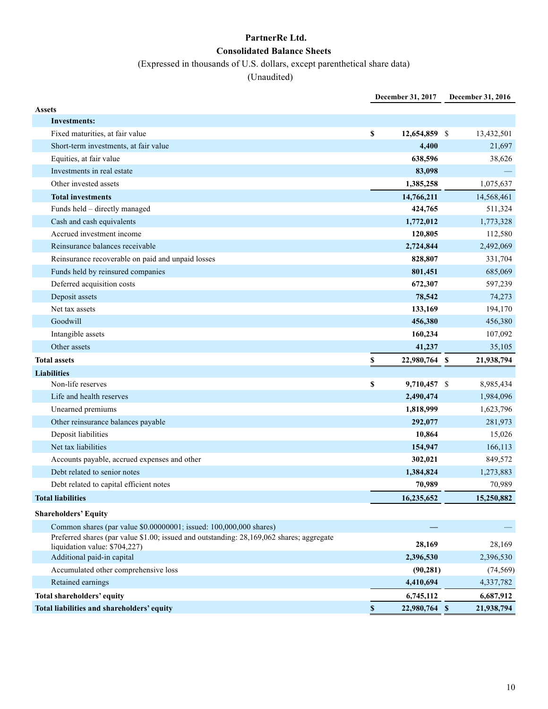## **PartnerRe Ltd. Consolidated Balance Sheets**

## (Expressed in thousands of U.S. dollars, except parenthetical share data)

(Unaudited)

|                                                                                                                           | December 31, 2017   | December 31, 2016 |  |
|---------------------------------------------------------------------------------------------------------------------------|---------------------|-------------------|--|
| <b>Assets</b>                                                                                                             |                     |                   |  |
| <b>Investments:</b>                                                                                                       |                     |                   |  |
| Fixed maturities, at fair value                                                                                           | \$<br>12,654,859 \$ | 13,432,501        |  |
| Short-term investments, at fair value                                                                                     | 4,400               | 21,697            |  |
| Equities, at fair value                                                                                                   | 638,596             | 38,626            |  |
| Investments in real estate                                                                                                | 83,098              |                   |  |
| Other invested assets                                                                                                     | 1,385,258           | 1,075,637         |  |
| <b>Total investments</b>                                                                                                  | 14,766,211          | 14,568,461        |  |
| Funds held - directly managed                                                                                             | 424,765             | 511,324           |  |
| Cash and cash equivalents                                                                                                 | 1,772,012           | 1,773,328         |  |
| Accrued investment income                                                                                                 | 120,805             | 112,580           |  |
| Reinsurance balances receivable                                                                                           | 2,724,844           | 2,492,069         |  |
| Reinsurance recoverable on paid and unpaid losses                                                                         | 828,807             | 331,704           |  |
| Funds held by reinsured companies                                                                                         | 801,451             | 685,069           |  |
| Deferred acquisition costs                                                                                                | 672,307             | 597,239           |  |
| Deposit assets                                                                                                            | 78,542              | 74,273            |  |
| Net tax assets                                                                                                            | 133,169             | 194,170           |  |
| Goodwill                                                                                                                  | 456,380             | 456,380           |  |
| Intangible assets                                                                                                         | 160,234             | 107,092           |  |
| Other assets                                                                                                              | 41,237              | 35,105            |  |
| <b>Total assets</b>                                                                                                       | \$<br>22,980,764 \$ | 21,938,794        |  |
| <b>Liabilities</b>                                                                                                        |                     |                   |  |
| Non-life reserves                                                                                                         | \$<br>9,710,457 \$  | 8,985,434         |  |
| Life and health reserves                                                                                                  | 2,490,474           | 1,984,096         |  |
| Unearned premiums                                                                                                         | 1,818,999           | 1,623,796         |  |
| Other reinsurance balances payable                                                                                        | 292,077             | 281,973           |  |
| Deposit liabilities                                                                                                       | 10,864              | 15,026            |  |
| Net tax liabilities                                                                                                       | 154,947             | 166,113           |  |
| Accounts payable, accrued expenses and other                                                                              | 302,021             | 849,572           |  |
| Debt related to senior notes                                                                                              | 1,384,824           | 1,273,883         |  |
| Debt related to capital efficient notes                                                                                   | 70,989              | 70,989            |  |
| <b>Total liabilities</b>                                                                                                  | 16,235,652          | 15,250,882        |  |
| <b>Shareholders' Equity</b>                                                                                               |                     |                   |  |
| Common shares (par value \$0.00000001; issued: 100,000,000 shares)                                                        |                     |                   |  |
| Preferred shares (par value \$1.00; issued and outstanding: 28,169,062 shares; aggregate<br>liquidation value: \$704,227) | 28,169              | 28,169            |  |
| Additional paid-in capital                                                                                                | 2,396,530           | 2,396,530         |  |
| Accumulated other comprehensive loss                                                                                      | (90, 281)           | (74, 569)         |  |
| Retained earnings                                                                                                         | 4,410,694           | 4,337,782         |  |
| <b>Total shareholders' equity</b>                                                                                         | 6,745,112           | 6,687,912         |  |
| Total liabilities and shareholders' equity                                                                                | \$<br>22,980,764 \$ | 21,938,794        |  |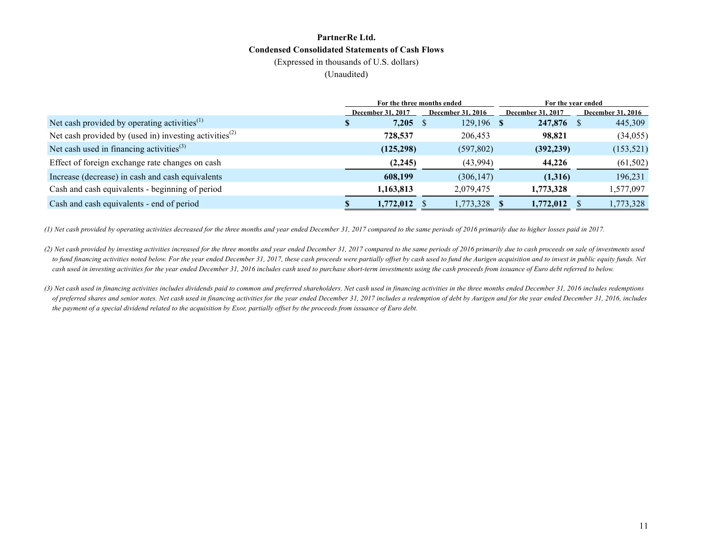### **PartnerRe Ltd. Condensed Consolidated Statements of Cash Flows**

#### (Expressed in thousands of U.S. dollars)

(Unaudited)

|                                                                    |   | For the three months ended |  |                          | For the year ended |                          |  |                   |  |
|--------------------------------------------------------------------|---|----------------------------|--|--------------------------|--------------------|--------------------------|--|-------------------|--|
|                                                                    |   | December 31, 2017          |  | <b>December 31, 2016</b> |                    | <b>December 31, 2017</b> |  | December 31, 2016 |  |
| Net cash provided by operating activities $(1)$                    | Æ | $7,205$ \$                 |  | $129,196$ \$             |                    | 247,876                  |  | 445,309           |  |
| Net cash provided by (used in) investing activities <sup>(2)</sup> |   | 728,537                    |  | 206,453                  |                    | 98.821                   |  | (34, 055)         |  |
| Net cash used in financing activities $^{(3)}$                     |   | (125, 298)                 |  | (597, 802)               |                    | (392, 239)               |  | (153, 521)        |  |
| Effect of foreign exchange rate changes on cash                    |   | (2,245)                    |  | (43,994)                 |                    | 44,226                   |  | (61, 502)         |  |
| Increase (decrease) in cash and cash equivalents                   |   | 608,199                    |  | (306, 147)               |                    | (1,316)                  |  | 196,231           |  |
| Cash and cash equivalents - beginning of period                    |   | 1,163,813                  |  | 2,079,475                |                    | 1,773,328                |  | 1,577,097         |  |
| Cash and cash equivalents - end of period                          |   | 1,772,012                  |  | 1,773,328                |                    | 1,772,012                |  | 1,773,328         |  |

*(1) Net cash provided by operating activities decreased for the three months and year ended December 31, 2017 compared to the same periods of 2016 primarily due to higher losses paid in 2017.*

*(2) Net cash provided by investing activities increased for the three months and year ended December 31, 2017 compared to the same periods of 2016 primarily due to cash proceeds on sale of investments used*  to fund financing activities noted below. For the year ended December 31, 2017, these cash proceeds were partially offset by cash used to fund the Aurigen acquisition and to invest in public equity funds. Net *cash used in investing activities for the year ended December 31, 2016 includes cash used to purchase short-term investments using the cash proceeds from issuance of Euro debt referred to below.*

*(3) Net cash used in financing activities includes dividends paid to common and preferred shareholders. Net cash used in financing activities in the three months ended December 31, 2016 includes redemptions*  of preferred shares and senior notes. Net cash used in financing activities for the year ended December 31, 2017 includes a redemption of debt by Aurigen and for the year ended December 31, 2016, includes *the payment of a special dividend related to the acquisition by Exor, partially offset by the proceeds from issuance of Euro debt.*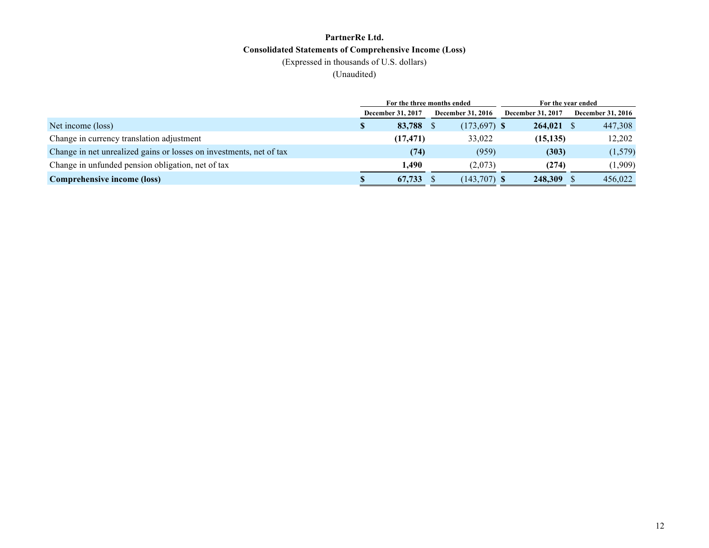### **PartnerRe Ltd. Consolidated Statements of Comprehensive Income (Loss)**

(Expressed in thousands of U.S. dollars)

(Unaudited)

|                                                                     |                   |           | For the three months ended |                   | For the year ended |
|---------------------------------------------------------------------|-------------------|-----------|----------------------------|-------------------|--------------------|
|                                                                     | December 31, 2017 |           | December 31, 2016          | December 31, 2017 | December 31, 2016  |
| Net income (loss)                                                   |                   | 83,788    | $(173,697)$ \$             | $264,021$ \$      | 447,308            |
| Change in currency translation adjustment                           |                   | (17, 471) | 33,022                     | (15, 135)         | 12,202             |
| Change in net unrealized gains or losses on investments, net of tax |                   | (74)      | (959)                      | (303)             | (1, 579)           |
| Change in unfunded pension obligation, net of tax                   |                   | l.490     | (2,073)                    | (274)             | (1,909)            |
| <b>Comprehensive income (loss)</b>                                  |                   | 67,733    | $(143,707)$ \$             | 248,309           | 456,022            |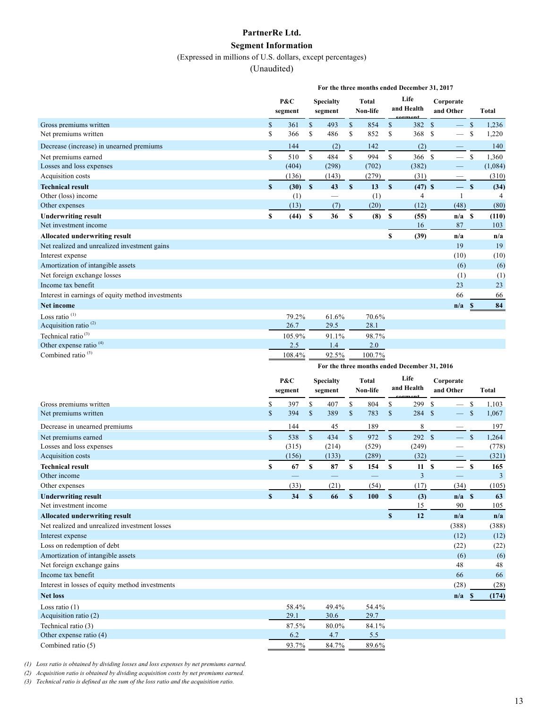### **PartnerRe Ltd.**

#### **Segment Information**

(Expressed in millions of U.S. dollars, except percentages)

#### (Unaudited)

**For the three months ended December 31, 2017**

|                                                   |              | P&C<br>segment |               | <b>Specialty</b><br>segment |             | <b>Total</b><br>Non-life |               | Life<br>and Health<br>aamant |               | Corporate<br>and Other   |      | Total   |
|---------------------------------------------------|--------------|----------------|---------------|-----------------------------|-------------|--------------------------|---------------|------------------------------|---------------|--------------------------|------|---------|
| Gross premiums written                            | \$           | 361            | <sup>\$</sup> | 493                         | $\mathbf S$ | 854                      | <sup>\$</sup> | 382                          | <sup>\$</sup> |                          | \$.  | 1.236   |
| Net premiums written                              | \$           | 366            | \$            | 486                         | \$          | 852                      | S             | 368                          | -S            | $\overline{\phantom{0}}$ |      | 1,220   |
| Decrease (increase) in unearned premiums          |              | 144            |               | (2)                         |             | 142                      |               | (2)                          |               |                          |      | 140     |
| Net premiums earned                               | \$           | 510            | \$            | 484                         | \$          | 994                      | S             | 366S                         |               |                          | -S   | 1,360   |
| Losses and loss expenses                          |              | (404)          |               | (298)                       |             | (702)                    |               | (382)                        |               |                          |      | (1,084) |
| Acquisition costs                                 |              | (136)          |               | (143)                       |             | (279)                    |               | (31)                         |               |                          |      | (310)   |
| <b>Technical result</b>                           | $\mathbf{s}$ | (30)           | $\mathbf{s}$  | 43                          | S           | 13                       | S             | $(47)$ \$                    |               | $\overline{\phantom{0}}$ | - \$ | (34)    |
| Other (loss) income                               |              | (1)            |               | $\overline{\phantom{0}}$    |             | (1)                      |               | 4                            |               |                          |      | 4       |
| Other expenses                                    |              | (13)           |               | (7)                         |             | (20)                     |               | (12)                         |               | (48)                     |      | (80)    |
| <b>Underwriting result</b>                        | S            | (44)           | $\mathbf{s}$  | 36                          | S           | (8)                      | S             | (55)                         |               | n/a                      | S    | (110)   |
| Net investment income                             |              |                |               |                             |             |                          |               | 16                           |               | 87                       |      | 103     |
| <b>Allocated underwriting result</b>              |              |                |               |                             |             |                          | S             | (39)                         |               | n/a                      |      | n/a     |
| Net realized and unrealized investment gains      |              |                |               |                             |             |                          |               |                              |               | 19                       |      | 19      |
| Interest expense                                  |              |                |               |                             |             |                          |               |                              |               | (10)                     |      | (10)    |
| Amortization of intangible assets                 |              |                |               |                             |             |                          |               |                              |               | (6)                      |      | (6)     |
| Net foreign exchange losses                       |              |                |               |                             |             |                          |               |                              |               | (1)                      |      | (1)     |
| Income tax benefit                                |              |                |               |                             |             |                          |               |                              |               | 23                       |      | 23      |
| Interest in earnings of equity method investments |              |                |               |                             |             |                          |               |                              |               | 66                       |      | 66      |
| <b>Net income</b>                                 |              |                |               |                             |             |                          |               |                              |               | n/a                      |      | 84      |
| Loss ratio <sup>(1)</sup>                         |              | 79.2%          |               | 61.6%                       |             | 70.6%                    |               |                              |               |                          |      |         |
| Acquisition ratio <sup>(2)</sup>                  |              | 26.7           |               | 29.5                        |             | 28.1                     |               |                              |               |                          |      |         |
| Technical ratio $^{(3)}$                          |              | 105.9%         |               | 91.1%                       |             | 98.7%                    |               |                              |               |                          |      |         |
| Other expense ratio <sup>(4)</sup>                |              | 2.5            |               | 1.4                         |             | 2.0                      |               |                              |               |                          |      |         |
| Combined ratio <sup>(5)</sup>                     |              | 108.4%         |               | 92.5%                       |             | 100.7%                   |               |                              |               |                          |      |         |

**For the three months ended December 31, 2016**

|                                                 |                    | P&C<br>segment |              | <b>Specialty</b><br>segment |              | <b>Total</b><br>Non-life |              | Life<br>and Health<br>. aamaant |               | Corporate<br>and Other   |               | <b>Total</b> |
|-------------------------------------------------|--------------------|----------------|--------------|-----------------------------|--------------|--------------------------|--------------|---------------------------------|---------------|--------------------------|---------------|--------------|
| Gross premiums written                          | \$                 | 397            | \$           | 407                         | \$           | 804                      | \$           | 299                             | <sup>\$</sup> | $\overline{\phantom{0}}$ | <sup>\$</sup> | 1.103        |
| Net premiums written                            | \$                 | 394            | \$           | 389                         | $\mathbf S$  | 783                      | $\mathbf S$  | 284                             | $\mathbf{s}$  | $\overline{\phantom{0}}$ | <sup>\$</sup> | 1,067        |
| Decrease in unearned premiums                   |                    | 144            |              | 45                          |              | 189                      |              | 8                               |               | -                        |               | 197          |
| Net premiums earned                             | $\mathbf{\hat{S}}$ | 538            | $\mathbf{s}$ | 434                         | $\mathbb{S}$ | 972                      | $\mathbf S$  | 292S                            |               |                          | $\mathcal{S}$ | 1.264        |
| Losses and loss expenses                        |                    | (315)          |              | (214)                       |              | (529)                    |              | (249)                           |               |                          |               | (778)        |
| Acquisition costs                               |                    | (156)          |              | (133)                       |              | (289)                    |              | (32)                            |               | —                        |               | (321)        |
| <b>Technical result</b>                         | S.                 | 67             | S            | 87                          | $\mathbf{s}$ | 154                      | S            | 11                              | <b>S</b>      |                          | $\mathbf{s}$  | 165          |
| Other income                                    |                    |                |              | -                           |              |                          |              | 3                               |               |                          |               | 3            |
| Other expenses                                  |                    | (33)           |              | (21)                        |              | (54)                     |              | (17)                            |               | (34)                     |               | (105)        |
| <b>Underwriting result</b>                      | $\mathbf{\hat{S}}$ | 34             | S            | 66                          | $\mathbf{s}$ | 100                      | $\mathbf{s}$ | (3)                             |               | $n/a$ \$                 |               | 63           |
| Net investment income                           |                    |                |              |                             |              |                          |              | 15                              |               | 90                       |               | 105          |
| <b>Allocated underwriting result</b>            |                    |                |              |                             |              |                          | S            | 12                              |               | n/a                      |               | n/a          |
| Net realized and unrealized investment losses   |                    |                |              |                             |              |                          |              |                                 |               | (388)                    |               | (388)        |
| Interest expense                                |                    |                |              |                             |              |                          |              |                                 |               | (12)                     |               | (12)         |
| Loss on redemption of debt                      |                    |                |              |                             |              |                          |              |                                 |               | (22)                     |               | (22)         |
| Amortization of intangible assets               |                    |                |              |                             |              |                          |              |                                 |               | (6)                      |               | (6)          |
| Net foreign exchange gains                      |                    |                |              |                             |              |                          |              |                                 |               | 48                       |               | 48           |
| Income tax benefit                              |                    |                |              |                             |              |                          |              |                                 |               | 66                       |               | 66           |
| Interest in losses of equity method investments |                    |                |              |                             |              |                          |              |                                 |               | (28)                     |               | (28)         |
| <b>Net loss</b>                                 |                    |                |              |                             |              |                          |              |                                 |               | n/a                      |               | (174)        |
| Loss ratio $(1)$                                |                    | 58.4%          |              | 49.4%                       |              | 54.4%                    |              |                                 |               |                          |               |              |
| Acquisition ratio (2)                           |                    | 29.1           |              | 30.6                        |              | 29.7                     |              |                                 |               |                          |               |              |
| Technical ratio (3)                             |                    | 87.5%          |              | 80.0%                       |              | 84.1%                    |              |                                 |               |                          |               |              |
| Other expense ratio (4)                         |                    | 6.2            |              | 4.7                         |              | 5.5                      |              |                                 |               |                          |               |              |
| Combined ratio (5)                              |                    | 93.7%          |              | 84.7%                       |              | 89.6%                    |              |                                 |               |                          |               |              |

*(1) Loss ratio is obtained by dividing losses and loss expenses by net premiums earned.* 

*(2) Acquisition ratio is obtained by dividing acquisition costs by net premiums earned.* 

*(3) Technical ratio is defined as the sum of the loss ratio and the acquisition ratio.*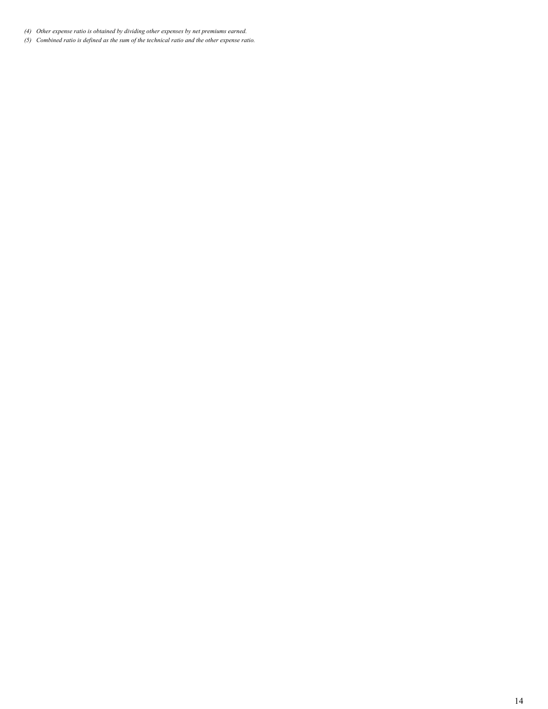- *(4) Other expense ratio is obtained by dividing other expenses by net premiums earned.*
- *(5) Combined ratio is defined as the sum of the technical ratio and the other expense ratio.*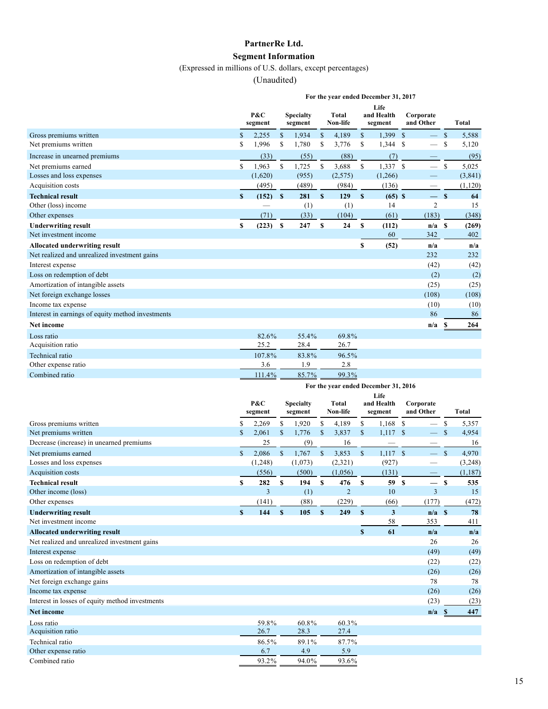### **PartnerRe Ltd.**

#### **Segment Information**

## (Expressed in millions of U.S. dollars, except percentages)

### (Unaudited)

|  |  |  | For the year ended December 31, 2017 |  |  |
|--|--|--|--------------------------------------|--|--|
|--|--|--|--------------------------------------|--|--|

|                                                   |     | P&C<br>segment |              | <b>Specialty</b><br>segment |             | <b>Total</b><br>Non-life |                    | Life<br>and Health<br>segment |              | Corporate<br>and Other |                    | Total    |
|---------------------------------------------------|-----|----------------|--------------|-----------------------------|-------------|--------------------------|--------------------|-------------------------------|--------------|------------------------|--------------------|----------|
| Gross premiums written                            |     | 2.255          | $\mathbf{s}$ | 1,934                       | $\mathbf S$ | 4,189                    | $\mathbf{\hat{s}}$ | 1.399                         | $\mathbf{s}$ |                        | $\mathbf{\hat{s}}$ | 5,588    |
| Net premiums written                              | \$  | 1,996          | \$           | 1,780                       | \$          | 3,776                    | \$                 | $1,344$ \$                    |              |                        | S                  | 5,120    |
| Increase in unearned premiums                     |     | (33)           |              | (55)                        |             | (88)                     |                    | (7)                           |              |                        |                    | (95)     |
| Net premiums earned                               | \$. | 1.963          | \$.          | 1.725                       | \$          | 3.688                    | $\mathbf{\hat{S}}$ | 1.337S                        |              |                        | $\mathbf{\hat{s}}$ | 5.025    |
| Losses and loss expenses                          |     | (1,620)        |              | (955)                       |             | (2,575)                  |                    | (1,266)                       |              |                        |                    | (3, 841) |
| Acquisition costs                                 |     | (495)          |              | (489)                       |             | (984)                    |                    | (136)                         |              |                        |                    | (1,120)  |
| <b>Technical result</b>                           | S   | (152) S        |              | 281                         | S           | 129                      | $\mathbf{s}$       | $(65)$ \$                     |              |                        | $\mathbf{s}$       | 64       |
| Other (loss) income                               |     |                |              | (1)                         |             | (1)                      |                    | 14                            |              | $\overline{c}$         |                    | 15       |
| Other expenses                                    |     | (71)           |              | (33)                        |             | (104)                    |                    | (61)                          |              | (183)                  |                    | (348)    |
| <b>Underwriting result</b>                        | S   | $(223)$ \$     |              | 247                         | $\mathbf S$ | 24                       | $\mathbf{s}$       | (112)                         |              | $n/a$ \$               |                    | (269)    |
| Net investment income                             |     |                |              |                             |             |                          |                    | 60                            |              | 342                    |                    | 402      |
| Allocated underwriting result                     |     |                |              |                             |             |                          | \$                 | (52)                          |              | n/a                    |                    | n/a      |
| Net realized and unrealized investment gains      |     |                |              |                             |             |                          |                    |                               |              | 232                    |                    | 232      |
| Interest expense                                  |     |                |              |                             |             |                          |                    |                               |              | (42)                   |                    | (42)     |
| Loss on redemption of debt                        |     |                |              |                             |             |                          |                    |                               |              | (2)                    |                    | (2)      |
| Amortization of intangible assets                 |     |                |              |                             |             |                          |                    |                               |              | (25)                   |                    | (25)     |
| Net foreign exchange losses                       |     |                |              |                             |             |                          |                    |                               |              | (108)                  |                    | (108)    |
| Income tax expense                                |     |                |              |                             |             |                          |                    |                               |              | (10)                   |                    | (10)     |
| Interest in earnings of equity method investments |     |                |              |                             |             |                          |                    |                               |              | 86                     |                    | 86       |
| Net income                                        |     |                |              |                             |             |                          |                    |                               |              | n/a                    | S                  | 264      |
| Loss ratio                                        |     | 82.6%          |              | 55.4%                       |             | 69.8%                    |                    |                               |              |                        |                    |          |
| Acquisition ratio                                 |     | 25.2           |              | 28.4                        |             | 26.7                     |                    |                               |              |                        |                    |          |
| Technical ratio                                   |     | 107.8%         |              | 83.8%                       |             | 96.5%                    |                    |                               |              |                        |                    |          |
| Other expense ratio                               |     | 3.6            |              | 1.9                         |             | 2.8                      |                    |                               |              |                        |                    |          |
| Combined ratio                                    |     | 111.4%         |              | 85.7%                       |             | 99.3%                    |                    |                               |              |                        |                    |          |

|                                                 |              |                   |              |                             |               |                          |                    | For the year ended December 31, 2016 |                               |               |              |
|-------------------------------------------------|--------------|-------------------|--------------|-----------------------------|---------------|--------------------------|--------------------|--------------------------------------|-------------------------------|---------------|--------------|
|                                                 |              | $P\&C$<br>segment |              | <b>Specialty</b><br>segment |               | <b>Total</b><br>Non-life |                    | Life<br>and Health<br>segment        | Corporate<br>and Other        |               | <b>Total</b> |
| Gross premiums written                          | \$.          | 2.269             | \$.          | 1.920                       | \$.           | 4.189                    | $\mathbf{\hat{s}}$ | $1.168$ \$                           | $\overbrace{\phantom{aaaaa}}$ | <sup>\$</sup> | 5.357        |
| Net premiums written                            | \$           | 2,061             | $\mathbf S$  | 1,776                       | <sup>\$</sup> | 3,837                    | \$                 | $1,117$ \$                           |                               | $\mathbf{s}$  | 4,954        |
| Decrease (increase) in unearned premiums        |              | 25                |              | (9)                         |               | 16                       |                    |                                      |                               |               | 16           |
| Net premiums earned                             | $\mathbf{s}$ | 2,086             | $\mathbb{S}$ | 1,767                       | $\mathbf{s}$  | 3,853                    | $\mathbb{S}$       | $1,117$ \$                           | $\equiv$                      | $\mathbf{s}$  | 4,970        |
| Losses and loss expenses                        |              | (1,248)           |              | (1,073)                     |               | (2,321)                  |                    | (927)                                |                               |               | (3,248)      |
| Acquisition costs                               |              | (556)             |              | (500)                       |               | (1,056)                  |                    | (131)                                |                               |               | (1, 187)     |
| <b>Technical result</b>                         | S            | 282               | $\mathbf{s}$ | 194                         | $\mathbf{s}$  | 476                      | S                  | 59 S                                 | $\overline{\phantom{0}}$      | $\mathbf{s}$  | 535          |
| Other income (loss)                             |              | 3                 |              | (1)                         |               | $\overline{2}$           |                    | 10                                   | 3                             |               | 15           |
| Other expenses                                  |              | (141)             |              | (88)                        |               | (229)                    |                    | (66)                                 | (177)                         |               | (472)        |
| <b>Underwriting result</b>                      | $\mathbf{s}$ | 144               | S            | 105                         | $\mathbf{s}$  | 249                      | S                  | $\overline{\mathbf{3}}$              | $n/a$ S                       |               | 78           |
| Net investment income                           |              |                   |              |                             |               |                          |                    | 58                                   | 353                           |               | 411          |
| <b>Allocated underwriting result</b>            |              |                   |              |                             |               |                          | $\mathbf{s}$       | 61                                   | n/a                           |               | n/a          |
| Net realized and unrealized investment gains    |              |                   |              |                             |               |                          |                    |                                      | 26                            |               | 26           |
| Interest expense                                |              |                   |              |                             |               |                          |                    |                                      | (49)                          |               | (49)         |
| Loss on redemption of debt                      |              |                   |              |                             |               |                          |                    |                                      | (22)                          |               | (22)         |
| Amortization of intangible assets               |              |                   |              |                             |               |                          |                    |                                      | (26)                          |               | (26)         |
| Net foreign exchange gains                      |              |                   |              |                             |               |                          |                    |                                      | 78                            |               | 78           |
| Income tax expense                              |              |                   |              |                             |               |                          |                    |                                      | (26)                          |               | (26)         |
| Interest in losses of equity method investments |              |                   |              |                             |               |                          |                    |                                      | (23)                          |               | (23)         |
| <b>Net income</b>                               |              |                   |              |                             |               |                          |                    |                                      | n/a                           | S             | 447          |
| Loss ratio                                      |              | 59.8%             |              | 60.8%                       |               | 60.3%                    |                    |                                      |                               |               |              |
| Acquisition ratio                               |              | 26.7              |              | 28.3                        |               | 27.4                     |                    |                                      |                               |               |              |
| Technical ratio                                 |              | 86.5%             |              | 89.1%                       |               | 87.7%                    |                    |                                      |                               |               |              |
| Other expense ratio                             |              | 6.7               |              | 4.9                         |               | 5.9                      |                    |                                      |                               |               |              |
| Combined ratio                                  |              | 93.2%             |              | 94.0%                       |               | 93.6%                    |                    |                                      |                               |               |              |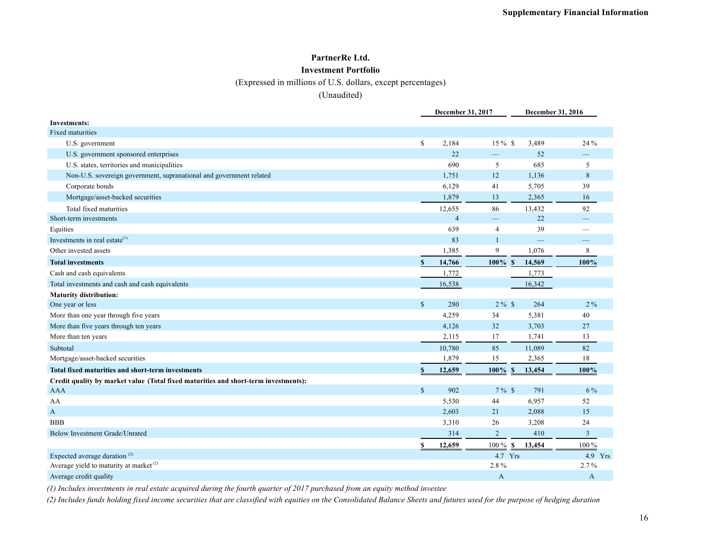#### **PartnerRe Ltd. Investment Portfolio**

(Expressed in millions of U.S. dollars, except percentages)

(Unaudited)

|                                                                                     |              | December 31, 2017 |                          | December 31, 2016        |                          |
|-------------------------------------------------------------------------------------|--------------|-------------------|--------------------------|--------------------------|--------------------------|
| <b>Investments:</b>                                                                 |              |                   |                          |                          |                          |
| Fixed maturities                                                                    |              |                   |                          |                          |                          |
| U.S. government                                                                     | \$           | 2,184             | $15\%$ \$                | 3,489                    | 24 %                     |
| U.S. government sponsored enterprises                                               |              | 22                | $\qquad \qquad -$        | 52                       |                          |
| U.S. states, territories and municipalities                                         |              | 690               | 5                        | 685                      | 5                        |
| Non-U.S. sovereign government, supranational and government related                 |              | 1,751             | 12                       | 1,136                    | 8                        |
| Corporate bonds                                                                     |              | 6,129             | 41                       | 5,705                    | 39                       |
| Mortgage/asset-backed securities                                                    |              | 1,879             | 13                       | 2,365                    | 16                       |
| Total fixed maturities                                                              |              | 12,655            | 86                       | 13,432                   | 92                       |
| Short-term investments                                                              |              | $\overline{4}$    | $\overline{\phantom{m}}$ | 22                       | —                        |
| Equities                                                                            |              | 639               | $\overline{4}$           | 39                       | $\overline{\phantom{0}}$ |
| Investments in real estate $^{(1)}$                                                 |              | 83                | $\mathbf{1}$             | $\overline{\phantom{0}}$ |                          |
| Other invested assets                                                               |              | 1,385             | 9                        | 1,076                    | 8                        |
| <b>Total investments</b>                                                            |              | 14,766            | 100%<br>$\mathbf{s}$     | 14,569                   | 100%                     |
| Cash and cash equivalents                                                           |              | 1,772             |                          | 1,773                    |                          |
| Total investments and cash and cash equivalents                                     |              | 16,538            |                          | 16,342                   |                          |
| <b>Maturity distribution:</b>                                                       |              |                   |                          |                          |                          |
| One year or less                                                                    | $\mathbb{S}$ | 280               | $2\%$ \$                 | 264                      | $2\%$                    |
| More than one year through five years                                               |              | 4,259             | 34                       | 5,381                    | 40                       |
| More than five years through ten years                                              |              | 4,126             | 32                       | 3,703                    | 27                       |
| More than ten years                                                                 |              | 2,115             | 17                       | 1,741                    | 13                       |
| Subtotal                                                                            |              | 10,780            | 85                       | 11,089                   | 82                       |
| Mortgage/asset-backed securities                                                    |              | 1,879             | 15                       | 2,365                    | 18                       |
| Total fixed maturities and short-term investments                                   | \$           | 12,659            | $100\%$<br>$\mathbf{s}$  | 13,454                   | 100%                     |
| Credit quality by market value (Total fixed maturities and short-term investments): |              |                   |                          |                          |                          |
| <b>AAA</b>                                                                          | $\mathbf S$  | 902               | $7\%$ \$                 | 791                      | 6 %                      |
| AA                                                                                  |              | 5,530             | 44                       | 6,957                    | 52                       |
| A                                                                                   |              | 2,603             | 21                       | 2,088                    | 15                       |
| <b>BBB</b>                                                                          |              | 3,310             | 26                       | 3,208                    | 24                       |
| <b>Below Investment Grade/Unrated</b>                                               |              | 314               | $\overline{2}$           | 410                      | $\mathbf{3}$             |
|                                                                                     | \$           | 12,659            | 100 %<br>$\mathbf{s}$    | 13,454                   | 100 %                    |
| Expected average duration <sup>(2)</sup>                                            |              |                   | 4.7 Yrs                  |                          | 4.9 Yrs                  |
| Average yield to maturity at market $^{(2)}$                                        |              |                   | 2.8%                     |                          | 2.7%                     |
| Average credit quality                                                              |              |                   | A                        |                          | A                        |

*(1) Includes investments in real estate acquired during the fourth quarter of 2017 purchased from an equity method investee*

*(2) Includes funds holding fixed income securities that are classified with equities on the Consolidated Balance Sheets and futures used for the purpose of hedging duration*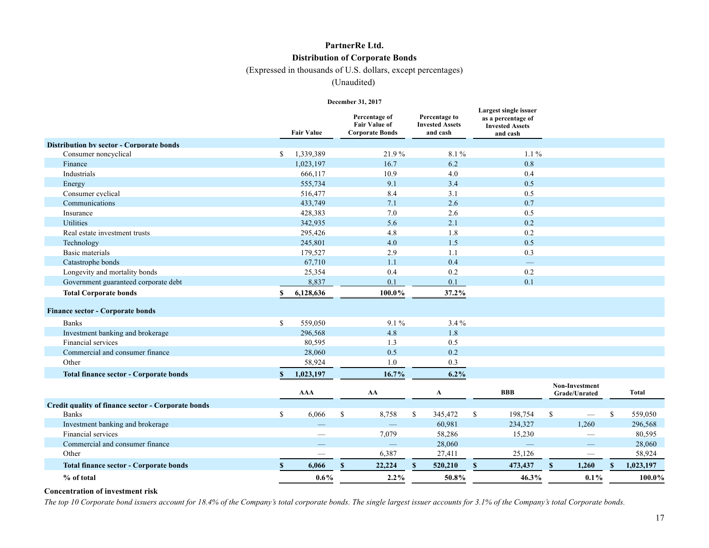#### **PartnerRe Ltd.**

#### **Distribution of Corporate Bonds**

(Expressed in thousands of U.S. dollars, except percentages)

(Unaudited)

#### **December 31, 2017**

|                                                    |               | <b>Fair Value</b>        | Percentage of<br><b>Fair Value of</b><br><b>Corporate Bonds</b> | Percentage to<br><b>Invested Assets</b><br>and cash | Largest single issuer<br>as a percentage of<br><b>Invested Assets</b><br>and cash |                                        |              |              |
|----------------------------------------------------|---------------|--------------------------|-----------------------------------------------------------------|-----------------------------------------------------|-----------------------------------------------------------------------------------|----------------------------------------|--------------|--------------|
| <b>Distribution by sector - Corporate bonds</b>    |               |                          |                                                                 |                                                     |                                                                                   |                                        |              |              |
| Consumer noncyclical                               | <sup>\$</sup> | 1,339,389                | 21.9%                                                           | 8.1%                                                | $1.1\%$                                                                           |                                        |              |              |
| Finance                                            |               | 1,023,197                | 16.7                                                            | 6.2                                                 | 0.8                                                                               |                                        |              |              |
| Industrials                                        |               | 666,117                  | 10.9                                                            | 4.0                                                 | 0.4                                                                               |                                        |              |              |
| Energy                                             |               | 555,734                  | 9.1                                                             | 3.4                                                 | 0.5                                                                               |                                        |              |              |
| Consumer cyclical                                  |               | 516,477                  | 8.4                                                             | 3.1                                                 | 0.5                                                                               |                                        |              |              |
| Communications                                     |               | 433,749                  | 7.1                                                             | 2.6                                                 | 0.7                                                                               |                                        |              |              |
| Insurance                                          |               | 428,383                  | 7.0                                                             | 2.6                                                 | 0.5                                                                               |                                        |              |              |
| <b>Utilities</b>                                   |               | 342,935                  | 5.6                                                             | 2.1                                                 | 0.2                                                                               |                                        |              |              |
| Real estate investment trusts                      |               | 295,426                  | 4.8                                                             | 1.8                                                 | 0.2                                                                               |                                        |              |              |
| Technology                                         |               | 245,801                  | 4.0                                                             | 1.5                                                 | 0.5                                                                               |                                        |              |              |
| Basic materials                                    |               | 179,527                  | 2.9                                                             | 1.1                                                 | 0.3                                                                               |                                        |              |              |
| Catastrophe bonds                                  |               | 67,710                   | 1.1                                                             | 0.4                                                 | $\equiv$                                                                          |                                        |              |              |
| Longevity and mortality bonds                      |               | 25,354                   | 0.4                                                             | 0.2                                                 | 0.2                                                                               |                                        |              |              |
| Government guaranteed corporate debt               |               | 8,837                    | 0.1                                                             | 0.1                                                 | 0.1                                                                               |                                        |              |              |
| <b>Total Corporate bonds</b>                       |               | 6,128,636                | 100.0%                                                          | 37.2%                                               |                                                                                   |                                        |              |              |
| Finance sector - Corporate bonds                   |               |                          |                                                                 |                                                     |                                                                                   |                                        |              |              |
| <b>Banks</b>                                       | $\mathbb{S}$  | 559,050                  | 9.1%                                                            | 3.4%                                                |                                                                                   |                                        |              |              |
| Investment banking and brokerage                   |               | 296,568                  | 4.8                                                             | 1.8                                                 |                                                                                   |                                        |              |              |
| Financial services                                 |               | 80,595                   | 1.3                                                             | 0.5                                                 |                                                                                   |                                        |              |              |
| Commercial and consumer finance                    |               | 28,060                   | 0.5                                                             | 0.2                                                 |                                                                                   |                                        |              |              |
| Other                                              |               | 58,924                   | 1.0                                                             | 0.3                                                 |                                                                                   |                                        |              |              |
| <b>Total finance sector - Corporate bonds</b>      |               | 1,023,197                | 16.7%                                                           | 6.2%                                                |                                                                                   |                                        |              |              |
|                                                    |               | <b>AAA</b>               | AA                                                              | $\mathbf{A}$                                        | <b>BBB</b>                                                                        | Non-Investment<br><b>Grade/Unrated</b> |              | <b>Total</b> |
| Credit quality of finance sector - Corporate bonds |               |                          |                                                                 |                                                     |                                                                                   |                                        |              |              |
| <b>Banks</b>                                       | \$            | 6,066                    | \$<br>8,758                                                     | \$<br>345,472                                       | \$<br>198,754                                                                     | \$<br>$\qquad \qquad -$                | $\mathbb{S}$ | 559,050      |
| Investment banking and brokerage                   |               |                          |                                                                 | 60,981                                              | 234,327                                                                           | 1,260                                  |              | 296,568      |
| Financial services                                 |               |                          | 7,079                                                           | 58,286                                              | 15,230                                                                            | $\overline{\phantom{0}}$               |              | 80,595       |
| Commercial and consumer finance                    |               |                          |                                                                 | 28,060                                              |                                                                                   | $\overline{\phantom{0}}$               |              | 28,060       |
| Other                                              |               | $\overline{\phantom{a}}$ | 6,387                                                           | 27,411                                              | 25,126                                                                            | $\overline{\phantom{0}}$               |              | 58,924       |
| <b>Total finance sector - Corporate bonds</b>      |               | 6,066                    | $\mathbf{s}$<br>22,224                                          | 520,210<br>$\mathbf{s}$                             | $\mathbf{s}$<br>473,437                                                           | 1,260<br>$\mathbf{\mathcal{S}}$        | \$           | 1,023,197    |
| % of total                                         |               | $0.6\%$                  | $2.2\%$                                                         | 50.8%                                               | 46.3%                                                                             | 0.1%                                   |              | 100.0%       |
|                                                    |               |                          |                                                                 |                                                     |                                                                                   |                                        |              |              |

#### **Concentration of investment risk**

*The top 10 Corporate bond issuers account for 18.4% of the Company's total corporate bonds. The single largest issuer accounts for 3.1% of the Company's total Corporate bonds.*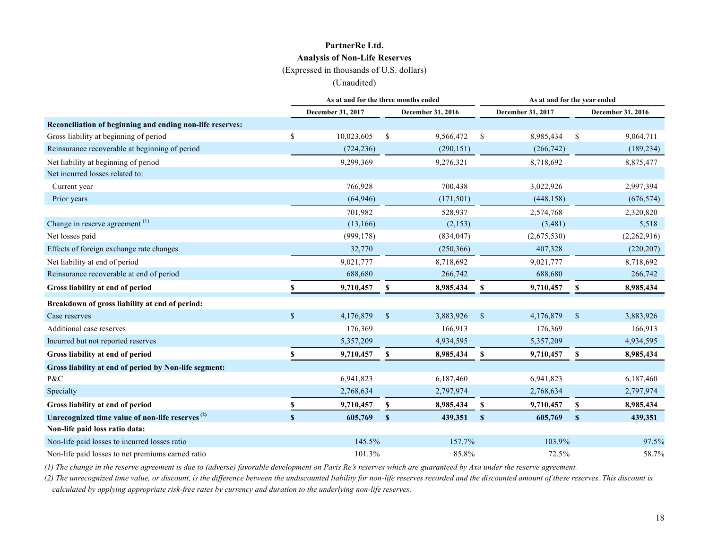#### **PartnerRe Ltd.**

#### **Analysis of Non-Life Reserves**

(Expressed in thousands of U.S. dollars)

#### (Unaudited)

|                                                             |              | As at and for the three months ended |                   |            | As at and for the year ended |                   |              |                   |  |  |
|-------------------------------------------------------------|--------------|--------------------------------------|-------------------|------------|------------------------------|-------------------|--------------|-------------------|--|--|
|                                                             |              | December 31, 2017                    | December 31, 2016 |            |                              | December 31, 2017 |              | December 31, 2016 |  |  |
| Reconciliation of beginning and ending non-life reserves:   |              |                                      |                   |            |                              |                   |              |                   |  |  |
| Gross liability at beginning of period                      | \$           | 10,023,605                           | <sup>\$</sup>     | 9,566,472  | <sup>\$</sup>                | 8,985,434         | \$           | 9,064,711         |  |  |
| Reinsurance recoverable at beginning of period              |              | (724, 236)                           |                   | (290, 151) |                              | (266,742)         |              | (189, 234)        |  |  |
| Net liability at beginning of period                        |              | 9,299,369                            |                   | 9,276,321  |                              | 8,718,692         |              | 8,875,477         |  |  |
| Net incurred losses related to:                             |              |                                      |                   |            |                              |                   |              |                   |  |  |
| Current year                                                |              | 766,928                              |                   | 700,438    |                              | 3,022,926         |              | 2,997,394         |  |  |
| Prior years                                                 |              | (64, 946)                            |                   | (171, 501) |                              | (448, 158)        |              | (676, 574)        |  |  |
|                                                             |              | 701,982                              |                   | 528,937    |                              | 2,574,768         |              | 2,320,820         |  |  |
| Change in reserve agreement <sup>(1)</sup>                  |              | (13,166)                             |                   | (2,153)    |                              | (3,481)           |              | 5,518             |  |  |
| Net losses paid                                             |              | (999, 178)                           |                   | (834, 047) |                              | (2,675,530)       |              | (2,262,916)       |  |  |
| Effects of foreign exchange rate changes                    |              | 32,770                               |                   | (250, 366) |                              | 407,328           |              | (220, 207)        |  |  |
| Net liability at end of period                              |              | 9,021,777                            |                   | 8,718,692  |                              | 9,021,777         |              | 8,718,692         |  |  |
| Reinsurance recoverable at end of period                    |              | 688,680                              |                   | 266,742    |                              | 688,680           |              | 266,742           |  |  |
| Gross liability at end of period                            | \$           | 9,710,457                            | S                 | 8,985,434  | $\mathbf{s}$                 | 9,710,457         | $\mathbf s$  | 8,985,434         |  |  |
| Breakdown of gross liability at end of period:              |              |                                      |                   |            |                              |                   |              |                   |  |  |
| Case reserves                                               | $\mathbf{s}$ | 4,176,879                            | $\mathsf{\$}$     | 3,883,926  | <sup>S</sup>                 | 4,176,879         | $\mathbb{S}$ | 3,883,926         |  |  |
| Additional case reserves                                    |              | 176,369                              |                   | 166,913    |                              | 176,369           |              | 166,913           |  |  |
| Incurred but not reported reserves                          |              | 5,357,209                            |                   | 4,934,595  |                              | 5,357,209         |              | 4,934,595         |  |  |
| Gross liability at end of period                            | S            | 9,710,457                            | S                 | 8,985,434  | <sup>\$</sup>                | 9,710,457         | S            | 8,985,434         |  |  |
| Gross liability at end of period by Non-life segment:       |              |                                      |                   |            |                              |                   |              |                   |  |  |
| P&C                                                         |              | 6,941,823                            |                   | 6,187,460  |                              | 6,941,823         |              | 6,187,460         |  |  |
| Specialty                                                   |              | 2,768,634                            |                   | 2,797,974  |                              | 2,768,634         |              | 2,797,974         |  |  |
| Gross liability at end of period                            | \$           | 9,710,457                            | S                 | 8,985,434  | S                            | 9,710,457         | S            | 8,985,434         |  |  |
| Unrecognized time value of non-life reserves <sup>(2)</sup> | $\mathbf{s}$ | 605,769                              | S                 | 439,351    | $\mathbf{s}$                 | 605,769           | $\mathbf{s}$ | 439,351           |  |  |
| Non-life paid loss ratio data:                              |              |                                      |                   |            |                              |                   |              |                   |  |  |
| Non-life paid losses to incurred losses ratio               |              | 145.5%                               |                   | 157.7%     |                              | 103.9%            |              | 97.5%             |  |  |
| Non-life paid losses to net premiums earned ratio           |              | 101.3%                               |                   | 85.8%      |                              | 72.5%             |              | 58.7%             |  |  |

*(1) The change in the reserve agreement is due to (adverse) favorable development on Paris Re's reserves which are guaranteed by Axa under the reserve agreement.*

*(2) The unrecognized time value, or discount, is the difference between the undiscounted liability for non-life reserves recorded and the discounted amount of these reserves. This discount is calculated by applying appropriate risk-free rates by currency and duration to the underlying non-life reserves.*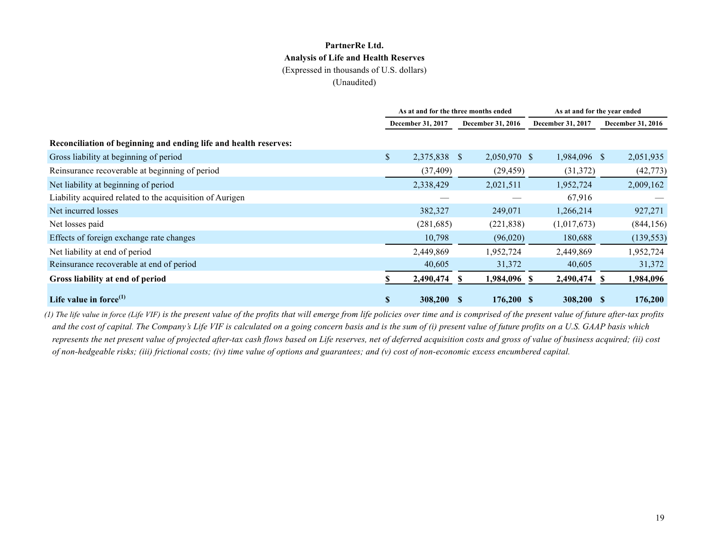## **PartnerRe Ltd. Analysis of Life and Health Reserves**

(Expressed in thousands of U.S. dollars)

(Unaudited)

|                                                                  | As at and for the three months ended |              |  |                   |  | As at and for the year ended |   |                   |  |  |  |  |
|------------------------------------------------------------------|--------------------------------------|--------------|--|-------------------|--|------------------------------|---|-------------------|--|--|--|--|
|                                                                  | December 31, 2017                    |              |  | December 31, 2016 |  | December 31, 2017            |   | December 31, 2016 |  |  |  |  |
| Reconciliation of beginning and ending life and health reserves: |                                      |              |  |                   |  |                              |   |                   |  |  |  |  |
| Gross liability at beginning of period                           | $\mathbb{S}$                         | 2,375,838 \$ |  | 2,050,970 \$      |  | 1,984,096 \$                 |   | 2,051,935         |  |  |  |  |
| Reinsurance recoverable at beginning of period                   |                                      | (37, 409)    |  | (29, 459)         |  | (31, 372)                    |   | (42, 773)         |  |  |  |  |
| Net liability at beginning of period                             |                                      | 2,338,429    |  | 2,021,511         |  | 1,952,724                    |   | 2,009,162         |  |  |  |  |
| Liability acquired related to the acquisition of Aurigen         |                                      |              |  |                   |  | 67,916                       |   |                   |  |  |  |  |
| Net incurred losses                                              |                                      | 382,327      |  | 249,071           |  | 1,266,214                    |   | 927,271           |  |  |  |  |
| Net losses paid                                                  |                                      | (281, 685)   |  | (221, 838)        |  | (1,017,673)                  |   | (844, 156)        |  |  |  |  |
| Effects of foreign exchange rate changes                         |                                      | 10,798       |  | (96,020)          |  | 180,688                      |   | (139, 553)        |  |  |  |  |
| Net liability at end of period                                   |                                      | 2,449,869    |  | 1,952,724         |  | 2,449,869                    |   | 1,952,724         |  |  |  |  |
| Reinsurance recoverable at end of period                         |                                      | 40,605       |  | 31,372            |  | 40,605                       |   | 31,372            |  |  |  |  |
| Gross liability at end of period                                 |                                      | 2,490,474    |  | 1,984,096 \$      |  | 2,490,474                    | S | 1,984,096         |  |  |  |  |
| Life value in force $^{(1)}$                                     | \$                                   | 308,200 \$   |  | $176,200$ \$      |  | 308,200 \$                   |   | 176,200           |  |  |  |  |

*(1) The life value in force (Life VIF) is the present value of the profits that will emerge from life policies over time and is comprised of the present value of future after-tax profits and the cost of capital. The Company's Life VIF is calculated on a going concern basis and is the sum of (i) present value of future profits on a U.S. GAAP basis which represents the net present value of projected after-tax cash flows based on Life reserves, net of deferred acquisition costs and gross of value of business acquired; (ii) cost of non-hedgeable risks; (iii) frictional costs; (iv) time value of options and guarantees; and (v) cost of non-economic excess encumbered capital.*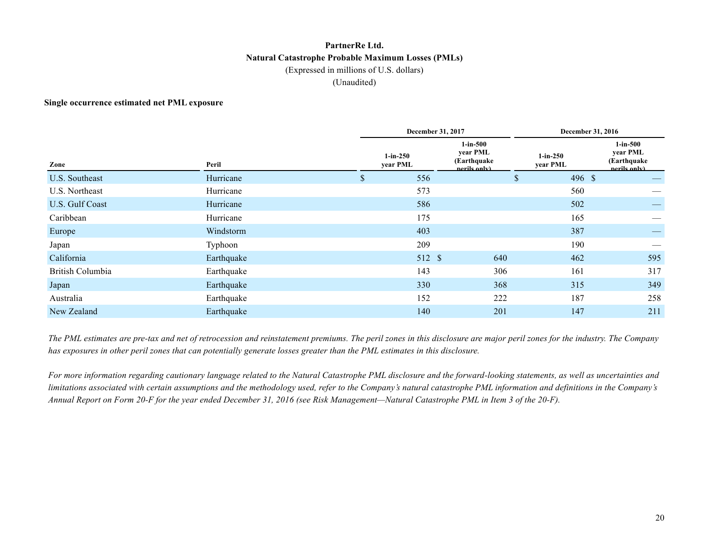### **PartnerRe Ltd. Natural Catastrophe Probable Maximum Losses (PMLs)** (Expressed in millions of U.S. dollars) (Unaudited)

#### **Single occurrence estimated net PML exposure**

|                  |            | December 31, 2017       | December 31, 2016                                      |                         |                                                       |  |  |  |
|------------------|------------|-------------------------|--------------------------------------------------------|-------------------------|-------------------------------------------------------|--|--|--|
| Zone             | Peril      | $1$ -in-250<br>year PML | $1$ -in-500<br>year PML<br>(Earthquake<br>nerils only) | $1$ -in-250<br>year PML | $1-in-500$<br>year PML<br>(Earthquake<br>nerils only) |  |  |  |
| U.S. Southeast   | Hurricane  | \$<br>556               |                                                        | \$                      | 496 $$$                                               |  |  |  |
| U.S. Northeast   | Hurricane  | 573                     |                                                        | 560                     |                                                       |  |  |  |
| U.S. Gulf Coast  | Hurricane  | 586                     |                                                        | 502                     |                                                       |  |  |  |
| Caribbean        | Hurricane  | 175                     |                                                        | 165                     |                                                       |  |  |  |
| Europe           | Windstorm  | 403                     |                                                        | 387                     |                                                       |  |  |  |
| Japan            | Typhoon    | 209                     |                                                        | 190                     |                                                       |  |  |  |
| California       | Earthquake | 512 \$                  | 640                                                    | 462                     | 595                                                   |  |  |  |
| British Columbia | Earthquake | 143                     | 306                                                    | 161                     | 317                                                   |  |  |  |
| Japan            | Earthquake | 330                     | 368                                                    | 315                     | 349                                                   |  |  |  |
| Australia        | Earthquake | 152                     | 222                                                    | 187                     | 258                                                   |  |  |  |
| New Zealand      | Earthquake | 140                     | 201                                                    | 147                     | 211                                                   |  |  |  |

*The PML estimates are pre-tax and net of retrocession and reinstatement premiums. The peril zones in this disclosure are major peril zones for the industry. The Company has exposures in other peril zones that can potentially generate losses greater than the PML estimates in this disclosure.*

*For more information regarding cautionary language related to the Natural Catastrophe PML disclosure and the forward-looking statements, as well as uncertainties and* limitations associated with certain assumptions and the methodology used, refer to the Company's natural catastrophe PML information and definitions in the Company's *Annual Report on Form 20-F for the year ended December 31, 2016 (see Risk Management—Natural Catastrophe PML in Item 3 of the 20-F).*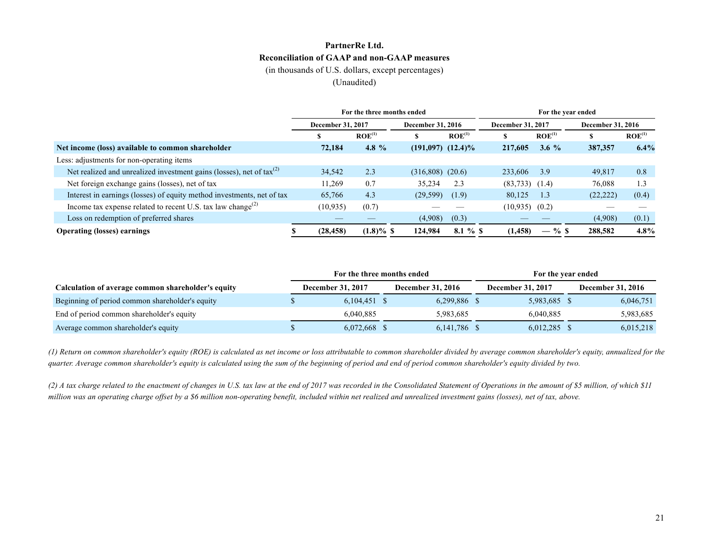### **PartnerRe Ltd. Reconciliation of GAAP and non-GAAP measures** (in thousands of U.S. dollars, except percentages)

#### (Unaudited)

|                                                                                  |                   | For the three months ended |                        |                    | For the year ended |                    |                   |                    |  |  |  |
|----------------------------------------------------------------------------------|-------------------|----------------------------|------------------------|--------------------|--------------------|--------------------|-------------------|--------------------|--|--|--|
|                                                                                  | December 31, 2017 |                            | December 31, 2016      |                    | December 31, 2017  |                    | December 31, 2016 |                    |  |  |  |
|                                                                                  |                   | ROE <sup>(1)</sup>         |                        | ROE <sup>(1)</sup> |                    | ROE <sup>(1)</sup> |                   | ROE <sup>(1)</sup> |  |  |  |
| Net income (loss) available to common shareholder                                | 72,184            | 4.8 $%$                    | $(191,097)$ $(12.4)\%$ |                    | 217,605            | 3.6 $%$            | 387,357           | $6.4\%$            |  |  |  |
| Less: adjustments for non-operating items                                        |                   |                            |                        |                    |                    |                    |                   |                    |  |  |  |
| Net realized and unrealized investment gains (losses), net of $\text{tax}^{(2)}$ | 34,542            | 2.3                        | $(316,808)$ $(20.6)$   |                    | 233,606            | 3.9                | 49,817            | 0.8                |  |  |  |
| Net foreign exchange gains (losses), net of tax                                  | 11,269            | 0.7                        | 35,234                 | 2.3                | $(83,733)$ $(1.4)$ |                    | 76,088            | 1.3                |  |  |  |
| Interest in earnings (losses) of equity method investments, net of tax           | 65,766            | 4.3                        | (29, 599)              | (1.9)              | 80,125             | -1.3               | (22, 222)         | (0.4)              |  |  |  |
| Income tax expense related to recent U.S. tax law change <sup>(2)</sup>          | (10, 935)         | (0.7)                      |                        |                    | $(10,935)$ $(0.2)$ |                    |                   |                    |  |  |  |
| Loss on redemption of preferred shares                                           |                   |                            | (4,908)                | (0.3)              |                    |                    | (4,908)           | (0.1)              |  |  |  |
| <b>Operating (losses) earnings</b>                                               | (28, 458)         | $(1.8)\%$ \$               | 124,984                | $8.1 \%$           | (1, 458)           | $-$ % \$           | 288,582           | 4.8%               |  |  |  |

|                                                    | For the three months ended |                          | For the year ended       |  |                          |  |  |  |
|----------------------------------------------------|----------------------------|--------------------------|--------------------------|--|--------------------------|--|--|--|
| Calculation of average common shareholder's equity | <b>December 31, 2017</b>   | <b>December 31, 2016</b> | <b>December 31, 2017</b> |  | <b>December 31, 2016</b> |  |  |  |
| Beginning of period common shareholder's equity    | $6,104,451$ \$             | 6,299,886 \$             | 5,983,685 \$             |  | 6,046,751                |  |  |  |
| End of period common shareholder's equity          | 6,040,885                  | 5,983,685                | 6,040,885                |  | 5,983,685                |  |  |  |
| Average common shareholder's equity                | 6,072,668                  | $6,141,786$ \$           | $6,012,285$ \$           |  | 6,015,218                |  |  |  |

*(1) Return on common shareholder's equity (ROE) is calculated as net income or loss attributable to common shareholder divided by average common shareholder's equity, annualized for the quarter. Average common shareholder's equity is calculated using the sum of the beginning of period and end of period common shareholder's equity divided by two.*

*(2) A tax charge related to the enactment of changes in U.S. tax law at the end of 2017 was recorded in the Consolidated Statement of Operations in the amount of \$5 million, of which \$11 million was an operating charge offset by a \$6 million non-operating benefit, included within net realized and unrealized investment gains (losses), net of tax, above.*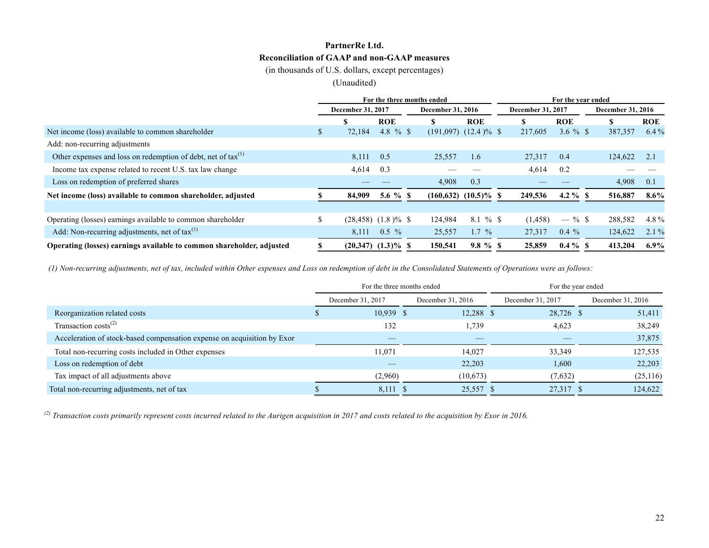## **PartnerRe Ltd. Reconciliation of GAAP and non-GAAP measures**

(in thousands of U.S. dollars, except percentages)

(Unaudited)

|                                                                          |    | For the three months ended |                         |  |                           |             |  | For the year ended |             |                   |            |  |  |  |  |
|--------------------------------------------------------------------------|----|----------------------------|-------------------------|--|---------------------------|-------------|--|--------------------|-------------|-------------------|------------|--|--|--|--|
|                                                                          |    | December 31, 2017          |                         |  | December 31, 2016         |             |  | December 31, 2017  |             | December 31, 2016 |            |  |  |  |  |
|                                                                          |    | \$                         | ROE                     |  |                           | <b>ROE</b>  |  | S                  | <b>ROE</b>  | \$                | <b>ROE</b> |  |  |  |  |
| Net income (loss) available to common shareholder                        | Ъ. | 72,184                     | 4.8 % \$                |  | $(191,097)$ $(12.4)$ % \$ |             |  | 217,605            | 3.6 $%$ \$  | 387,357           | $6.4\%$    |  |  |  |  |
| Add: non-recurring adjustments                                           |    |                            |                         |  |                           |             |  |                    |             |                   |            |  |  |  |  |
| Other expenses and loss on redemption of debt, net of tax <sup>(1)</sup> |    | 8,111 0.5                  |                         |  | 25,557                    | 1.6         |  | 27,317             | 0.4         | 124,622           | 2.1        |  |  |  |  |
| Income tax expense related to recent U.S. tax law change                 |    | 4,614                      | 0.3                     |  |                           |             |  | 4,614              | 0.2         |                   |            |  |  |  |  |
| Loss on redemption of preferred shares                                   |    |                            |                         |  | 4,908                     | 0.3         |  |                    |             | 4,908             | 0.1        |  |  |  |  |
| Net income (loss) available to common shareholder, adjusted              |    | 84,909                     | 5.6 $%$ \$              |  | $(160,632)$ $(10.5)\%$ \$ |             |  | 249,536            | 4.2 $%$ \$  | 516,887           | $8.6\%$    |  |  |  |  |
|                                                                          |    |                            |                         |  |                           |             |  |                    |             |                   |            |  |  |  |  |
| Operating (losses) earnings available to common shareholder              |    |                            | $(28,458)$ $(1.8)$ % \$ |  | 124,984                   | $8.1 \%$ \$ |  | (1, 458)           | $-$ % \$    | 288,582           | 4.8%       |  |  |  |  |
| Add: Non-recurring adjustments, net of $\text{tax}^{(1)}$                |    |                            | $8,111$ 0.5 %           |  | 25,557                    | $1.7\%$     |  | 27,317             | $0.4 \%$    | 124,622           | $2.1\%$    |  |  |  |  |
| Operating (losses) earnings available to common shareholder, adjusted    |    |                            | $(20,347)$ $(1.3)\%$ \$ |  | 150,541                   | $9.8 \%$    |  | 25,859             | $0.4 \%$ \$ | 413,204           | $6.9\%$    |  |  |  |  |

*(1) Non-recurring adjustments, net of tax, included within Other expenses and Loss on redemption of debt in the Consolidated Statements of Operations were as follows:*

|                                                                         |                   | For the three months ended |                   |  | For the year ended |  |                   |  |  |
|-------------------------------------------------------------------------|-------------------|----------------------------|-------------------|--|--------------------|--|-------------------|--|--|
|                                                                         | December 31, 2017 |                            | December 31, 2016 |  | December 31, 2017  |  | December 31, 2016 |  |  |
| Reorganization related costs                                            |                   | $10,939$ \$                | 12,288            |  | 28,726 \$          |  | 51,411            |  |  |
| Transaction $costs^{(2)}$                                               |                   | 132                        | 1,739             |  | 4,623              |  | 38,249            |  |  |
| Acceleration of stock-based compensation expense on acquisition by Exor |                   |                            |                   |  |                    |  | 37,875            |  |  |
| Total non-recurring costs included in Other expenses                    |                   | 11,071                     | 14,027            |  | 33,349             |  | 127,535           |  |  |
| Loss on redemption of debt                                              |                   |                            | 22,203            |  | 1,600              |  | 22,203            |  |  |
| Tax impact of all adjustments above                                     |                   | (2,960)                    | (10,673)          |  | (7,632)            |  | (25,116)          |  |  |
| Total non-recurring adjustments, net of tax                             |                   | 8,111 \$                   | 25,557 \$         |  | 27,317 \$          |  | 124,622           |  |  |

*(2) Transaction costs primarily represent costs incurred related to the Aurigen acquisition in 2017 and costs related to the acquisition by Exor in 2016.*